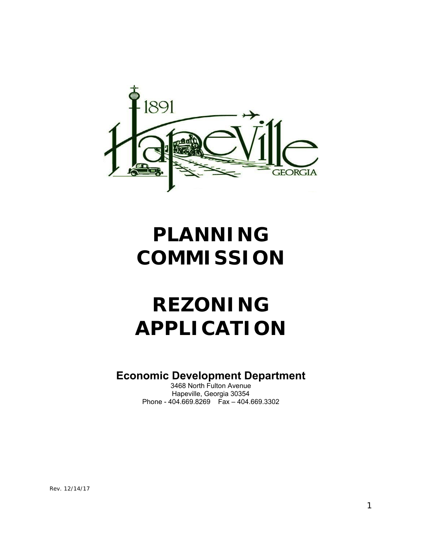

# **PLANNING COMMISSION**

# **REZONING APPLICATION**

## **Economic Development Department**

3468 North Fulton Avenue Hapeville, Georgia 30354 Phone - 404.669.8269 Fax – 404.669.3302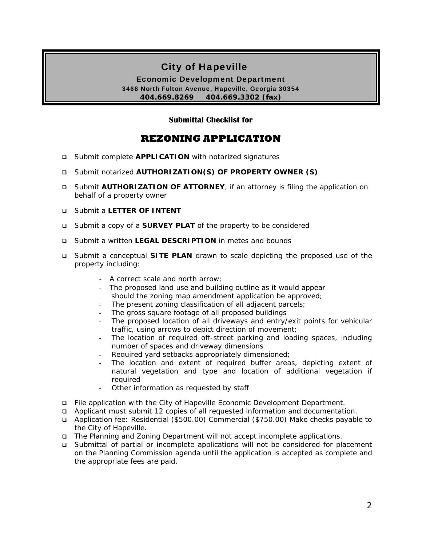## City of Hapeville

Economic Development Department 3468 North Fulton Avenue, Hapeville, Georgia 30354 **404.669.8269 404.669.3302 (fax)** 

#### **Submittal Checklist for**

### **REZONING APPLICATION**

- Submit complete **APPLICATION** with notarized signatures
- Submit notarized **AUTHORIZATION(S) OF PROPERTY OWNER (S)**
- Submit **AUTHORIZATION OF ATTORNEY**, if an attorney is filing the application on behalf of a property owner
- Submit a **LETTER OF INTENT**
- Submit a copy of a **SURVEY PLAT** of the property to be considered
- Submit a written **LEGAL DESCRIPTION** in metes and bounds
- Submit a conceptual **SITE PLAN** drawn to scale depicting the proposed use of the property including:
	- A correct scale and north arrow;
	- The proposed land use and building outline as it would appear should the zoning map amendment application be approved;
	- The present zoning classification of all adjacent parcels;
	- The gross square footage of all proposed buildings
	- The proposed location of all driveways and entry/exit points for vehicular traffic, using arrows to depict direction of movement;
	- The location of required off-street parking and loading spaces, including number of spaces and driveway dimensions
	- Required yard setbacks appropriately dimensioned;
	- The location and extent of required buffer areas, depicting extent of natural vegetation and type and location of additional vegetation if required
	- Other information as requested by staff
- File application with the City of Hapeville Economic Development Department.
- Applicant must submit 12 copies of all requested information and documentation.
- Application fee: Residential (\$500.00) Commercial (\$750.00) Make checks payable to the City of Hapeville.
- The Planning and Zoning Department will not accept incomplete applications.
- Submittal of partial or incomplete applications will not be considered for placement on the Planning Commission agenda until the application is accepted as complete and the appropriate fees are paid.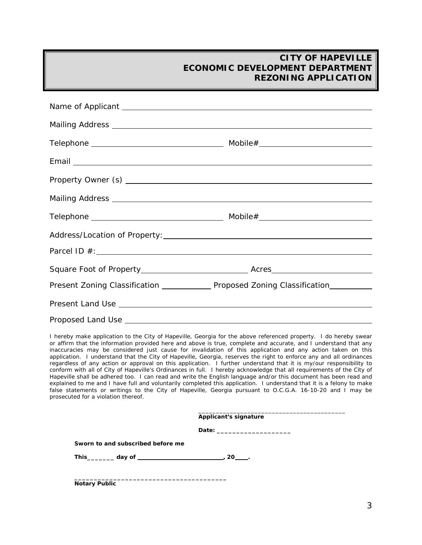| Present Zoning Classification _______________ Proposed Zoning Classification__________ |  |
|----------------------------------------------------------------------------------------|--|
|                                                                                        |  |
|                                                                                        |  |

I hereby make application to the City of Hapeville, Georgia for the above referenced property. I do hereby swear or affirm that the information provided here and above is true, complete and accurate, and I understand that any inaccuracies may be considered just cause for invalidation of this application and any action taken on this application. I understand that the City of Hapeville, Georgia, reserves the right to enforce any and all ordinances regardless of any action or approval on this application. I further understand that it is my/our responsibility to conform with all of City of Hapeville's Ordinances in full. I hereby acknowledge that all requirements of the City of Hapeville shall be adhered too. I can read and write the English language and/or this document has been read and explained to me and I have full and voluntarily completed this application. I understand that it is a felony to make false statements or writings to the City of Hapeville, Georgia pursuant to O.C.G.A. 16-10-20 and I may be prosecuted for a violation thereof.

|                                   | <b>Applicant's signature</b>                                    |
|-----------------------------------|-----------------------------------------------------------------|
|                                   |                                                                 |
| Sworn to and subscribed before me |                                                                 |
|                                   | This_________ day of ________________________________, 20_____. |

**Notary Public**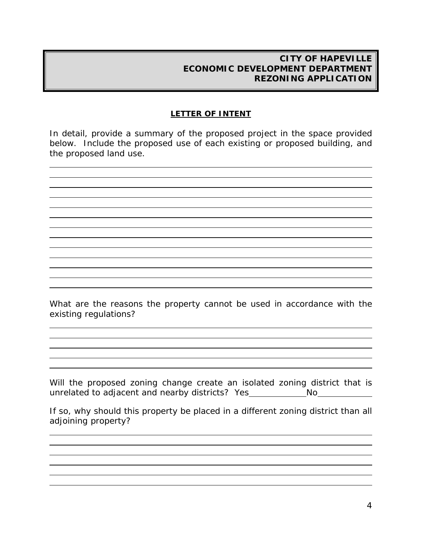#### **LETTER OF INTENT**

In detail, provide a summary of the proposed project in the space provided below. Include the proposed use of each existing or proposed building, and the proposed land use.

l l

 $\overline{a}$ 

l

l

l

l

What are the reasons the property cannot be used in accordance with the existing regulations?

Will the proposed zoning change create an isolated zoning district that is unrelated to adjacent and nearby districts? Yes \_\_\_\_\_\_\_\_\_\_\_\_\_\_\_\_\_\_\_\_No\_\_\_

If so, why should this property be placed in a different zoning district than all adjoining property?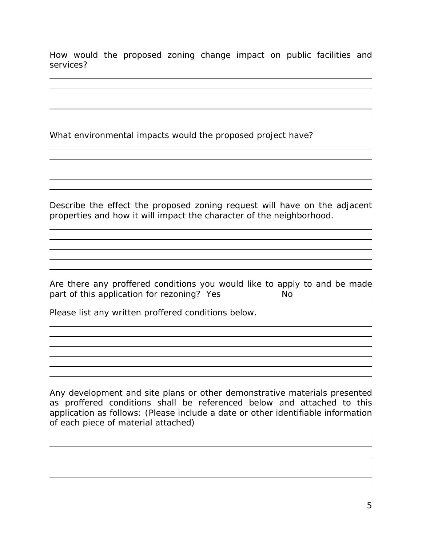How would the proposed zoning change impact on public facilities and services?

What environmental impacts would the proposed project have?

L l

l

l

l

l

l

l

l

l

 $\overline{a}$ 

Describe the effect the proposed zoning request will have on the adjacent properties and how it will impact the character of the neighborhood.

Are there any proffered conditions you would like to apply to and be made part of this application for rezoning? Yes No

Please list any written proffered conditions below.

Any development and site plans or other demonstrative materials presented as proffered conditions shall be referenced below and attached to this application as follows: (Please include a date or other identifiable information of each piece of material attached)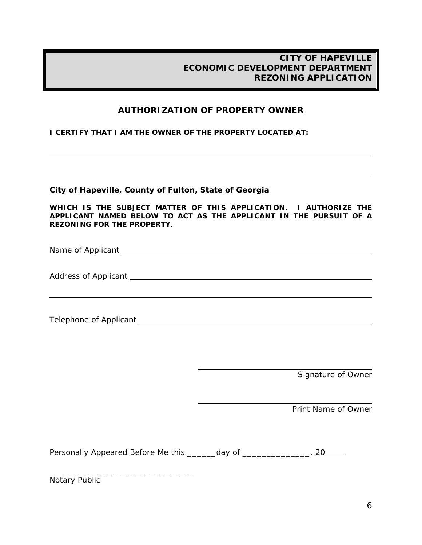### **AUTHORIZATION OF PROPERTY OWNER**

**I CERTIFY THAT I AM THE OWNER OF THE PROPERTY LOCATED AT:** 

**City of Hapeville, County of Fulton, State of Georgia** 

**WHICH IS THE SUBJECT MATTER OF THIS APPLICATION. I AUTHORIZE THE APPLICANT NAMED BELOW TO ACT AS THE APPLICANT IN THE PURSUIT OF A REZONING FOR THE PROPERTY**.

Name of Applicant and the state of  $\lambda$ 

Address of Applicant Law and Contract and Contract and Contract and Contract and Contract and Contract and Contract and Contract and Contract and Contract and Contract and Contract and Contract and Contract and Contract an

Telephone of Applicant

l

 $\overline{\phantom{0}}$ 

Signature of Owner

Print Name of Owner

Personally Appeared Before Me this \_\_\_\_\_\_day of \_\_\_\_\_\_\_\_\_\_\_\_\_\_, 20\_\_\_\_.

 $\overline{a}$ 

 $\overline{\phantom{0}}$ 

Notary Public

\_\_\_\_\_\_\_\_\_\_\_\_\_\_\_\_\_\_\_\_\_\_\_\_\_\_\_\_\_\_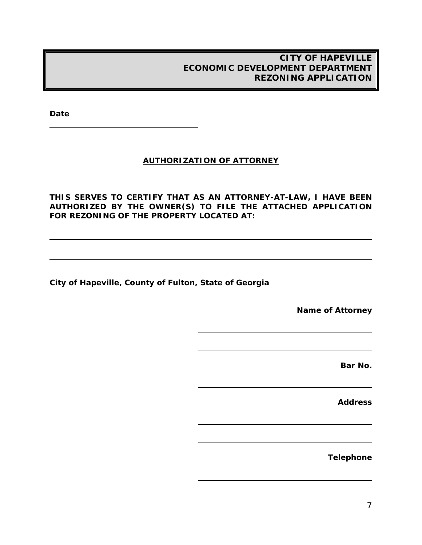**Date** 

l

l

#### **AUTHORIZATION OF ATTORNEY**

**THIS SERVES TO CERTIFY THAT AS AN ATTORNEY-AT-LAW, I HAVE BEEN AUTHORIZED BY THE OWNER(S) TO FILE THE ATTACHED APPLICATION FOR REZONING OF THE PROPERTY LOCATED AT:** 

 $\overline{\phantom{a}}$ 

 $\overline{\phantom{a}}$ 

 $\overline{\phantom{a}}$ 

 $\overline{\phantom{0}}$ 

 $\overline{a}$ 

**City of Hapeville, County of Fulton, State of Georgia** 

**Name of Attorney** 

**Bar No.** 

**Address** 

**Telephone**